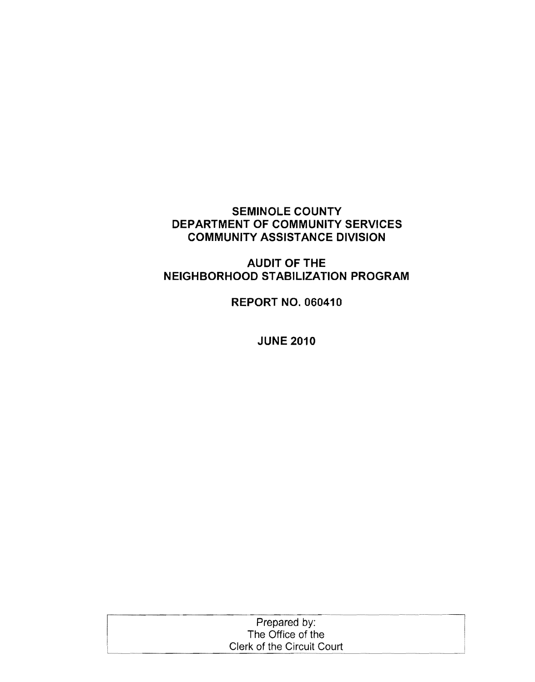# **SEMINOLE COUNTY DEPARTMENT OF COMMUNITY SERVICES COMMUNITY ASSISTANCE DIVISION**

# **AUDIT OF THE NEIGHBORHOOD STABILIZATION PROGRAM**

**REPORT NO. 060410** 

**JUNE 2010** 

| Prepared by:               |  |
|----------------------------|--|
| The Office of the          |  |
| Clerk of the Circuit Court |  |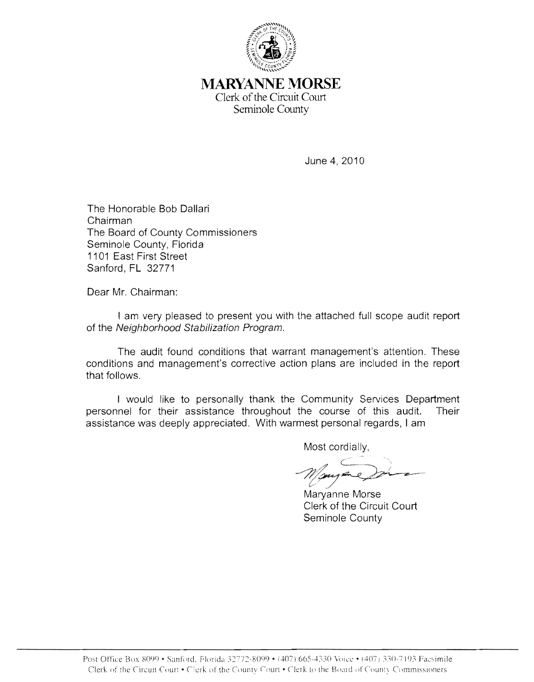

**MARYANNE MORSE**  Clerk of the Circuit Court Seminole County

June 4,2010

The Honorable Bob Dallari Chairman The Board of County Commissioners Seminole County, Florida 1101 East First Street Sanford, FL 32771

Dear Mr. Chairman:

I am very pleased to present you with the attached full scope audit report of the Neighborhood Stabilization Program.

The audit found conditions that warrant management's attention. These conditions and management's corrective action plans are included in the report that follows.

I would like to personally thank the Community Services Department personnel for their assistance throughout the course of this audit. Their assistance was deeply appreciated. With warmest personal regards, I am

Most cordially, Wayne Dr.

Maryanne Morse Clerk of the Circuit Court Seminole County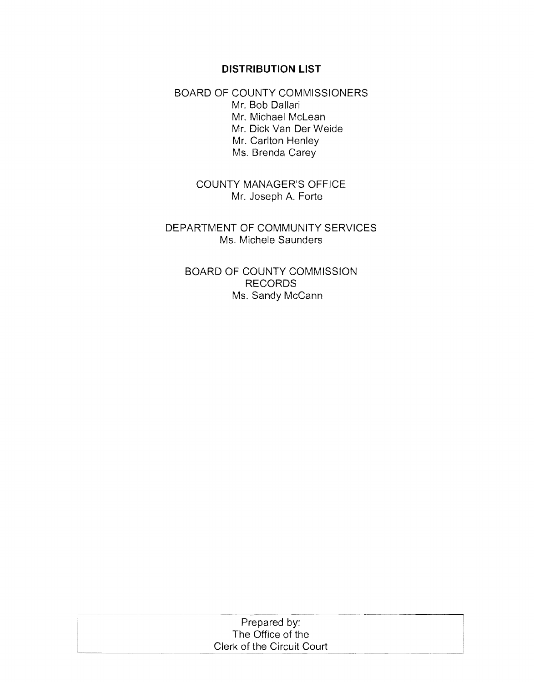#### **DISTRIBUTION LIST**

BOARD OF COUNTY COMMISSIONERS Mr. Bob Daliari Mr. Michael McLean Mr. Dick Van Der Weide Mr. Carlton Henley Ms. Brenda Carey

> COUNTY MANAGER'S OFFICE Mr. Joseph A. Forte

DEPARTMENT OF COMMUNITY SERVICES Ms. Michele Saunders

BOARD OF COUNTY COMMISSION RECORDS Ms. Sandy McCann

| Prepared by:               |  |
|----------------------------|--|
| The Office of the          |  |
| Clerk of the Circuit Court |  |
|                            |  |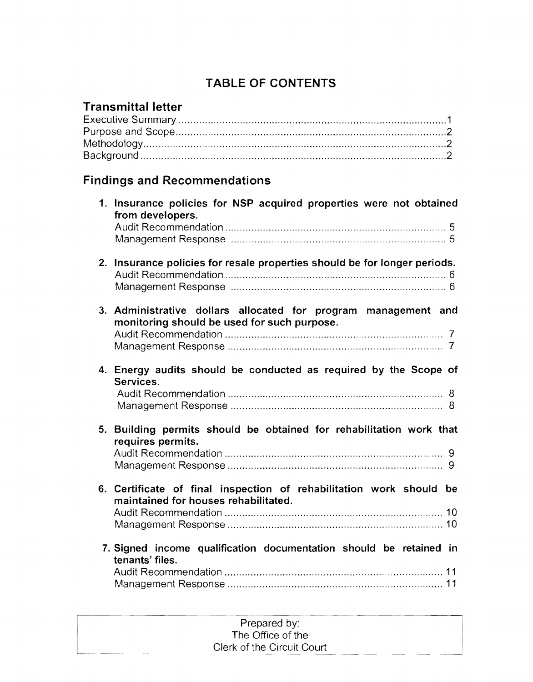# TABLE OF CONTENTS

# Transmittal letter

# Findings and Recommendations

|    | 1. Insurance policies for NSP acquired properties were not obtained<br>from developers.                       |
|----|---------------------------------------------------------------------------------------------------------------|
|    |                                                                                                               |
| 2. | Insurance policies for resale properties should be for longer periods.                                        |
|    | 3. Administrative dollars allocated for program management and<br>monitoring should be used for such purpose. |
|    | 4. Energy audits should be conducted as required by the Scope of<br>Services.                                 |
|    | 5. Building permits should be obtained for rehabilitation work that<br>requires permits.                      |
|    |                                                                                                               |
|    | 6. Certificate of final inspection of rehabilitation work should be<br>maintained for houses rehabilitated.   |
|    |                                                                                                               |
|    | 7. Signed income qualification documentation should be retained in<br>tenants' files.                         |
|    |                                                                                                               |

| Prepared by:               |  |
|----------------------------|--|
| The Office of the          |  |
|                            |  |
| Clerk of the Circuit Court |  |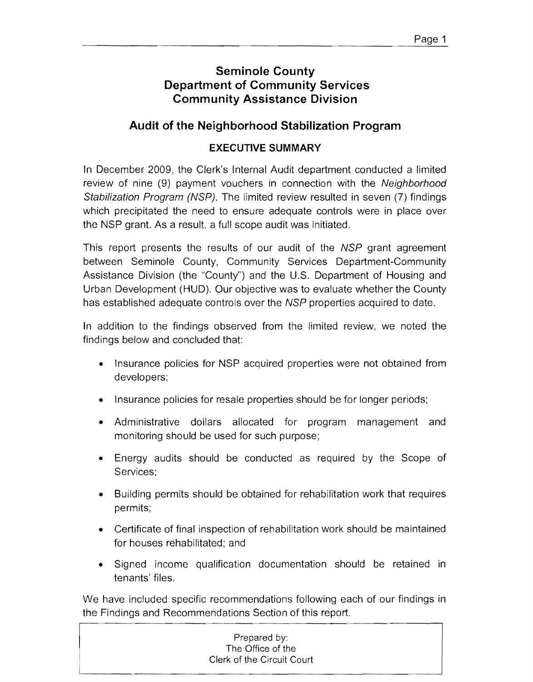# **Seminole County Department of Community Services Community Assistance Division**

# **Audit of the Neighborhood Stabilization Program**

# **EXECUTIVE SUMMARY**

In December 2009, the Clerk's Internal Audit department conducted a limited review of nine (9) payment vouchers in connection with the Neighborhood Stabilization Program (NSP). The limited review resulted in seven (7) findings which precipitated the need to ensure adequate controls were in place over the NSP grant. As a result, a full scope audit was initiated.

This report presents the results of our audit of the NSP grant agreement between Seminole County, Community Services Department-Community Assistance Division (the "County") and the U.S. Department of Housing and Urban Development (HUD). Our objective was to evaluate whether the County has established adequate controls over the NSP properties acquired to date.

In addition to the findings observed from the limited review, we noted the findings below and concluded that:

- Insurance policies for NSP acquired properties were not obtained from developers;
- Insurance policies for resale properties should be for longer periods;
- Administrative dollars allocated for program management and monitoring should be used for such purpose;
- Energy audits should be conducted as required by the Scope of Services;
- Building permits should be obtained for rehabilitation work that requires permits;
- Certificate of final inspection of rehabilitation work should be maintained for houses rehabilitated; and
- Signed income qualification documentation should be retained in tenants' files.

We have included specific recommendations following each of our findings in the Findings and Recommendations Section of this report.

|  | Prepared by:      |                            |  |
|--|-------------------|----------------------------|--|
|  | The Office of the |                            |  |
|  |                   | Clerk of the Circuit Court |  |
|  |                   |                            |  |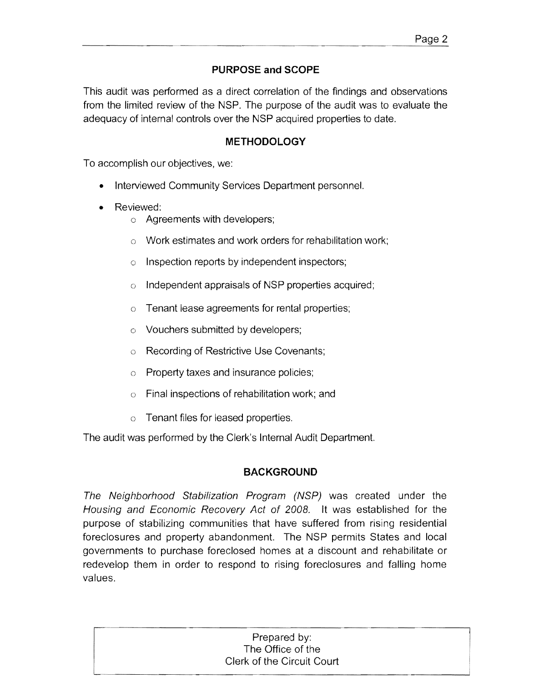# **PURPOSE and SCOPE**

This audit was performed as a direct correlation of the findings and observations from the limited review of the NSP. The purpose of the audit was to evaluate the adequacy of internal controls over the NSP acquired properties to date.

#### **METHODOLOGY**

To accomplish our objectives, we:

- Interviewed Community Services Department personnel.
- Reviewed:
	- o Agreements with developers;
	- o Work estimates and work orders for rehabilitation work;
	- o Inspection reports by independent inspectors;
	- o Independent appraisals of NSP properties acquired;
	- $\circ$  Tenant lease agreements for rental properties;
	- o Vouchers submitted by developers;
	- Recording of Restrictive Use Covenants;  $\circ$
	- $\circ$  Property taxes and insurance policies;
	- $\circ$  Final inspections of rehabilitation work; and
	- $\circ$  Tenant files for leased properties.

The audit was performed by the Clerk's Internal Audit Department.

### **BACKGROUND**

The Neighborhood Stabilization Program (NSP) was created under the Housing and Economic Recovery Act of 2008. It was established for the purpose of stabilizing communities that have suffered from rising residential foreclosures and property abandonment. The NSP permits States and local governments to purchase foreclosed homes at a discount and rehabilitate or redevelop them in order to respond to rising foreclosures and falling home values.

| Prepared by:               |
|----------------------------|
| The Office of the          |
| Clerk of the Circuit Court |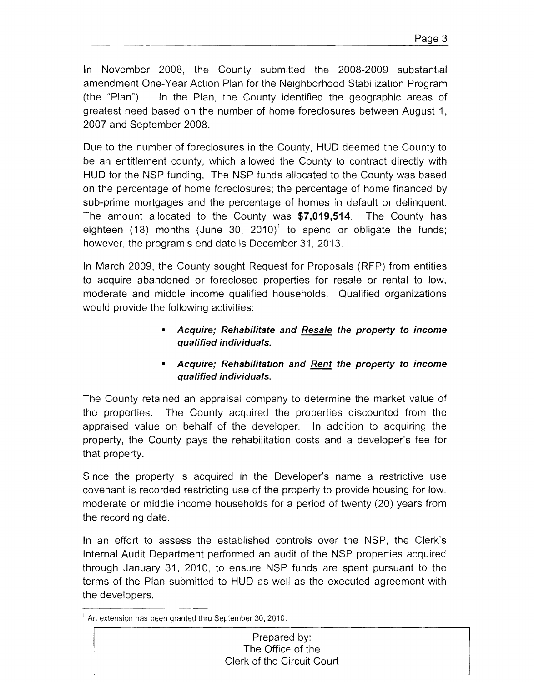In November 2008, the County submitted the 2008-2009 substantial amendment One-Year Action Plan for the Neighborhood Stabilization Program (the "Plan"). In the Plan, the County identified the geographic areas of greatest need based on the number of home foreclosures between August 1, 2007 and September 2008.

Due to the number of foreclosures in the County, HUD deemed the County to be an entitlement county, which allowed the County to contract directly with HUD for the NSP funding. The NSP funds allocated to the County was based on the percentage of home foreclosures; the percentage of home financed by sub-prime mortgages and the percentage of homes in default or delinquent. The amount allocated to the County was \$7,019,514. The County has eighteen (18) months (June 30, 2010)<sup>1</sup> to spend or obligate the funds; however, the program's end date is December 31,2013.

In March 2009, the County sought Request for Proposals (RFP) from entities to acquire abandoned or foreclosed properties for resale or rental to low, moderate and middle income qualified households. Qualified organizations would provide the following activities:

- Acquire; Rehabilitate and Resale the property to income qualified individuals.
- Acquire; Rehabilitation and Rent the property to income qualified individuals.

The County retained an appraisal company to determine the market value of the properties. The County acquired the properties discounted from the appraised value on behalf of the developer. In addition to acquiring the property, the County pays the rehabilitation costs and a developer's fee for that property.

Since the property is acquired in the Developer's name a restrictive use covenant is recorded restricting use of the property to provide housing for low, moderate or middle income households for a period of twenty (20) years from the recording date.

In an effort to assess the established controls over the NSP, the Clerk's Internal Audit Department performed an audit of the NSP properties acquired through January 31, 2010, to ensure NSP funds are spent pursuant to the terms of the Plan submitted to HUD as well as the executed agreement with the developers.

 $<sup>1</sup>$  An extension has been granted thru September 30, 2010.</sup>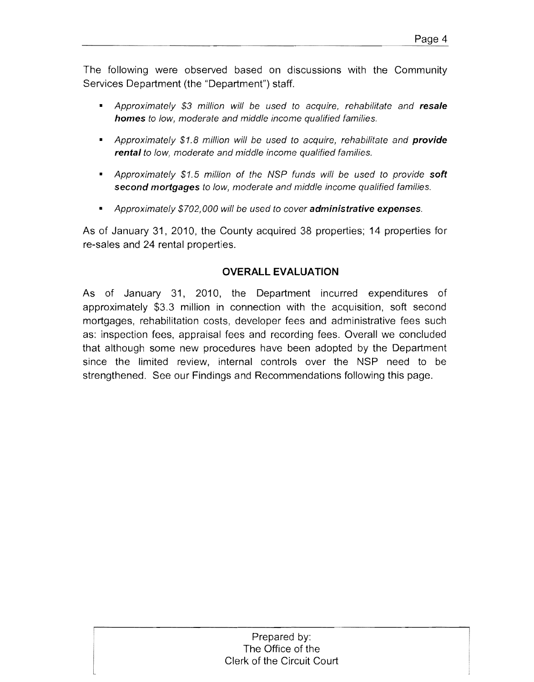The following were observed based on discussions with the Community Services Department (the "Department") staff.

- Approximately \$3 million will be used to acquire, rehabilitate and **resale homes** to low, moderate and middle income qualified families.
- Approximately \$1.8 million will be used to acquire, rehabilitate and **provide rental** to low, moderate and middle income qualified families.
- Approximately \$1.5 million of the NSP funds will be used to provide **soft second mortgages** to low, moderate and middle income qualified families.
- Approximately \$702,000 will be used to cover **administrative expenses.**

As of January 31, 2010, the County acquired 38 properties; 14 properties for re-sales and 24 rental properties.

# **OVERALL EVALUATION**

As of January 31, 2010, the Department incurred expenditures of approximately \$3.3 million in connection with the acquisition, soft second mortgages, rehabilitation costs, developer fees and administrative fees such as: inspection fees, appraisal fees and recording fees. Overall we concluded that although some new procedures have been adopted by the Department since the limited review, internal controls over the NSP need to be strengthened. See our Findings and Recommendations following this page.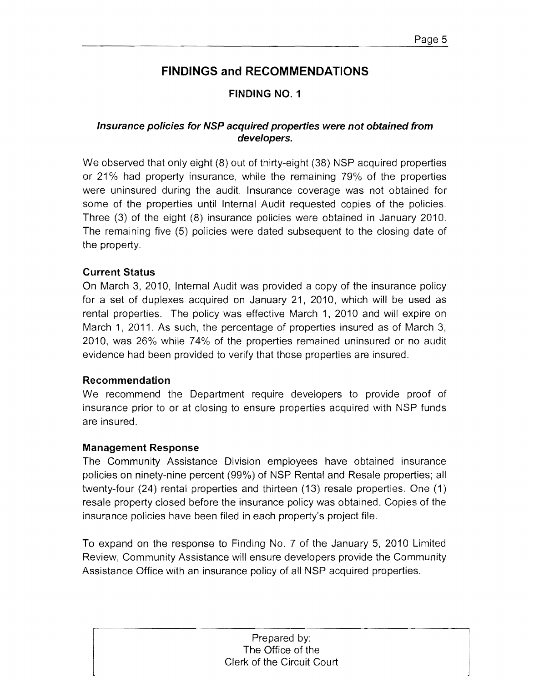# **FINDING NO.1**

### **Insurance policies for NSP acquired properties were not obtained from developers.**

We observed that only eight (8) out of thirty-eight (38) NSP acquired properties or 21% had property insurance, while the remaining 79% of the properties were uninsured during the audit. Insurance coverage was not obtained for some of the properties until Internal Audit requested copies of the policies. Three (3) of the eight (8) insurance policies were obtained in January 2010. The remaining five (5) policies were dated subsequent to the closing date of the property.

### **Current Status**

On March 3, 2010, Internal Audit was provided a copy of the insurance policy for a set of duplexes acquired on January 21, 2010, which will be used as rental properties. The policy was effective March 1, 2010 and will expire on March 1, 2011. As such, the percentage of properties insured as of March 3, 2010, was 26% while 74% of the properties remained uninsured or no audit evidence had been provided to verify that those properties are insured.

### **Recommendation**

We recommend the Department require developers to provide proof of insurance prior to or at closing to ensure properties acquired with NSP funds are insured.

### **Management Response**

The Community Assistance Division employees have obtained insurance policies on ninety-nine percent (99%) of NSP Rental and Resale properties; all twenty-four (24) rental properties and thirteen (13) resale properties. One (1) resale property closed before the insurance policy was obtained. Copies of the insurance policies have been filed in each property's project file.

To expand on the response to Finding No. 7 of the January 5, 2010 Limited Review, Community Assistance will ensure developers provide the Community Assistance Office with an insurance policy of all NSP acquired properties.

> Prepared by: The Office of the Clerk of the Circuit Court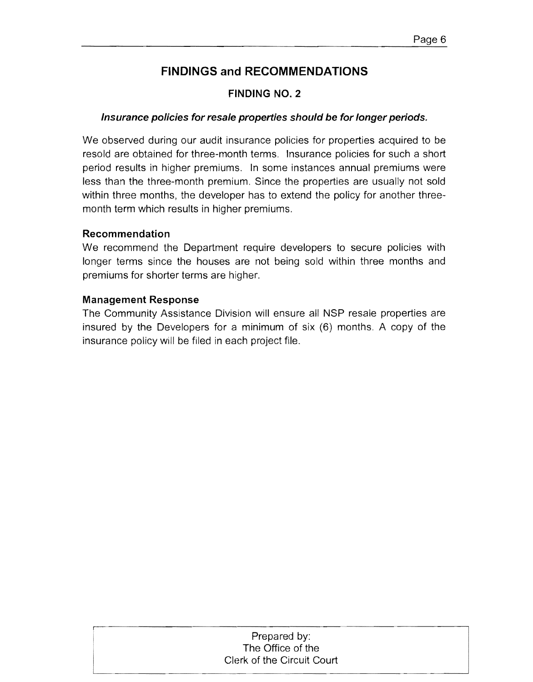### **FINDING NO.2**

### **Insurance policies for resale properties should be for longer periods.**

We observed during our audit insurance policies for properties acquired to be resold are obtained for three-month terms. Insurance policies for such a short period results in higher premiums. In some instances annual premiums were less than the three-month premium. Since the properties are usually not sold within three months, the developer has to extend the policy for another threemonth term which results in higher premiums.

#### **Recommendation**

We recommend the Department require developers to secure policies with longer terms since the houses are not being sold within three months and premiums for shorter terms are higher.

#### **Management Response**

The Community Assistance Division will ensure all NSP resale properties are insured by the Developers for a minimum of six (6) months. A copy of the insurance policy will be filed in each project file.

# ,---...\_--------------------------------, Prepared by: The Office of the Clerk of the Circuit Court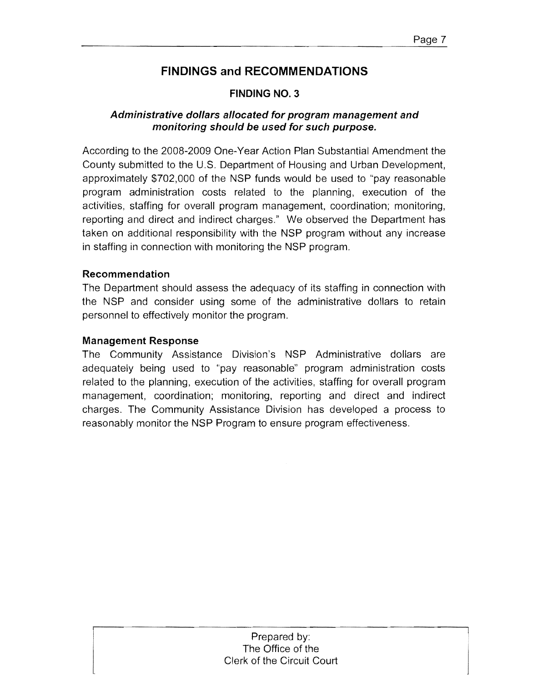### **FINDING NO.3**

# **Administrative dollars allocated for program management and monitoring should be used for such purpose.**

According to the 2008-2009 One-Year Action Plan Substantial Amendment the County submitted to the U.S. Department of Housing and Urban Development, approximately \$702,000 of the NSP funds would be used to "pay reasonable program administration costs related to the planning, execution of the activities, staffing for overall program management, coordination; monitoring, reporting and direct and indirect charges." We observed the Department has taken on additional responsibility with the NSP program without any increase in staffing in connection with monitoring the NSP program.

### **Recommendation**

The Department should assess the adequacy of its staffing **in** connection with the NSP and consider using some of the administrative dollars to retain personnel to effectively monitor the program.

#### **Management Response**

The Community Assistance Division's NSP Administrative dollars are adequately being used to "pay reasonable" program administration costs related to the planning, execution of the activities, staffing for overall program management, coordination; monitoring, reporting and direct and indirect charges. The Community Assistance Division has developed a process to reasonably monitor the NSP Program to ensure program effectiveness.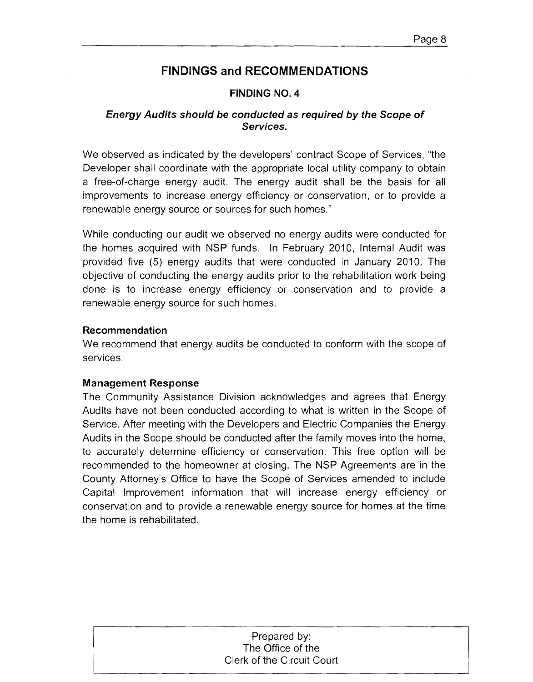### **FINDING NO.4**

### **Energy Audits should be conducted as required by the Scope of Services.**

We observed as indicated by the developers' contract Scope of Services, "the Developer shall coordinate with the appropriate local utility company to obtain a free-of-charge energy audit. The energy audit shall be the basis for all improvements to increase energy efficiency or conservation, or to provide a renewable energy source or sources for such homes."

While conducting our audit we observed no energy audits were conducted for the homes acquired with NSP funds. In February 2010, Internal Audit was provided five (5) energy audits that were conducted in January 2010. The objective of conducting the energy audits prior to the rehabilitation work being done is to increase energy efficiency or conservation and to provide a renewable energy source for such homes.

#### **Recommendation**

We recommend that energy audits be conducted to conform with the scope of services.

### **Management Response**

The Community Assistance Division acknowledges and agrees that Energy Audits have not been conducted according to what is written in the Scope of Service. After meeting with the Developers and Electric Companies the Energy Audits in the Scope should be conducted after the family moves into the home, to accurately determine efficiency or conservation. This free option will be recommended to the homeowner at closing. The NSP Agreements are in the County Attorney's Office to have the Scope of Services amended to include Capital Improvement information that will increase energy efficiency or conservation and to provide a renewable energy source for homes at the time the home is rehabilitated.

### Prepared by: The Office of the Clerk of the Circuit Court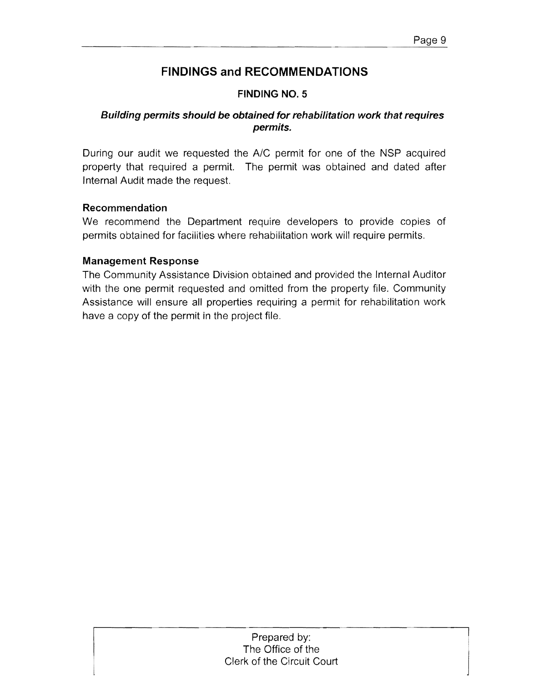# **FINDING NO.5**

# **Building permits should be obtained for rehabilitation work that requires permits.**

During our audit we requested the A/C permit for one of the NSP acquired property that required a permit. The permit was obtained and dated after Internal Audit made the request.

### **Recommendation**

We recommend the Department require developers to provide copies of permits obtained for facilities where rehabilitation work will require permits.

### **Management Response**

The Community Assistance Division obtained and provided the Internal Auditor with the one permit requested and omitted from the property file. Community Assistance will ensure all properties requiring a permit for rehabilitation work have a copy of the permit in the project file.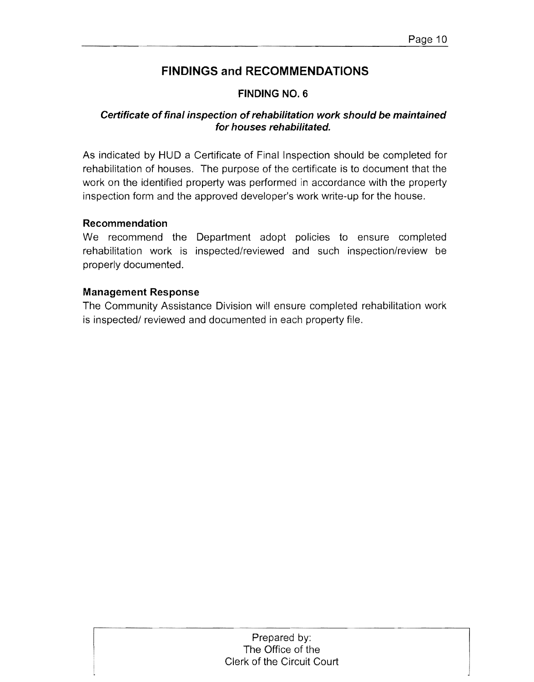# **FINDING NO.6**

### **Certificate of final inspection of rehabilitation work should be maintained for houses rehabilitated.**

As indicated by HUD a Certificate of Final Inspection should be completed for rehabilitation of houses. The purpose of the certificate is to document that the work on the identified property was performed in accordance with the property inspection form and the approved developer's work write-up for the house.

### **Recommendation**

We recommend the Department adopt policies to ensure completed rehabilitation work is inspected/reviewed and such inspection/review be properly documented.

### Management Response

The Community Assistance Division will ensure completed rehabilitation work is inspected/ reviewed and documented in each property file.